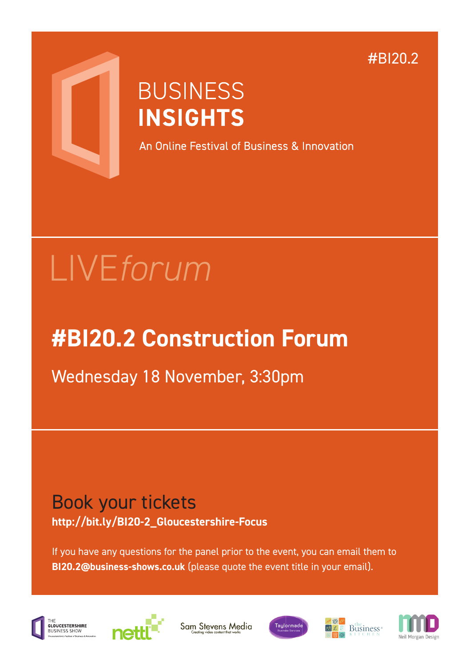#### #BI20.2



## **BUSINESS INSIGHTS**

An Online Festival of Business & Innovation

# LIVE*forum*

### **#BI20.2 Construction Forum**

Wednesday 18 November, 3:30pm

#### Book your tickets **http://bit.ly/BI20-2\_Gloucestershire-Focus**

If you have any questions for the panel prior to the event, you can email them to **BI20.2@business-shows.co.uk** (please quote the event title in your email).





Sam Stevens Media